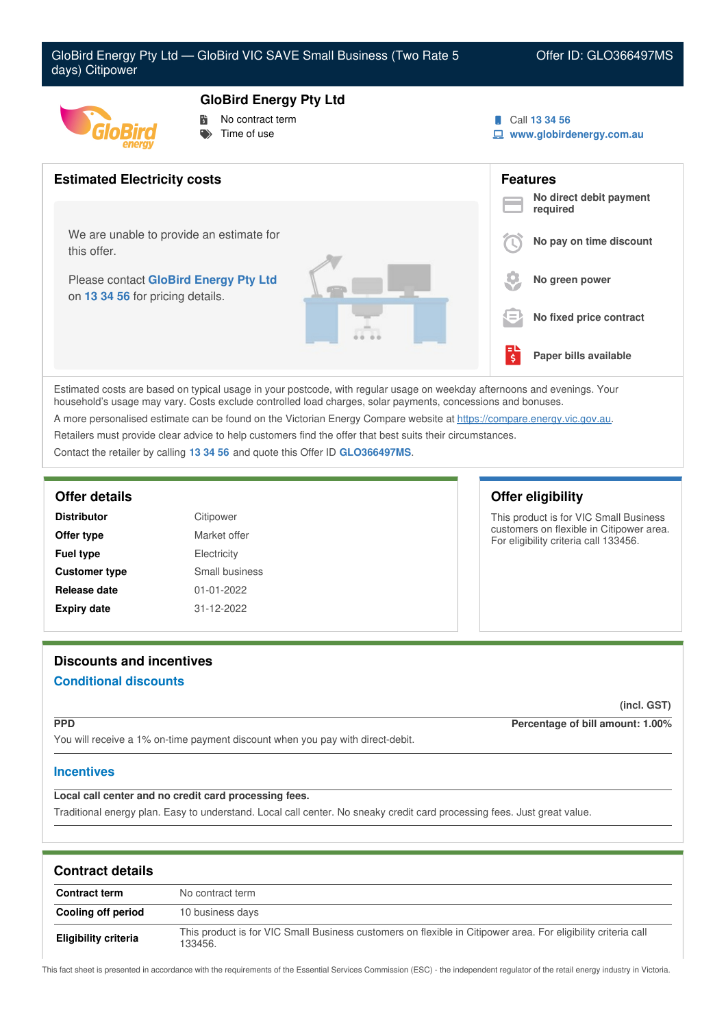



 No contract term Time of use

- Call **13 34 56**
- **www.globirdenergy.com.au**



Estimated costs are based on typical usage in your postcode, with regular usage on weekday afternoons and evenings. Your household's usage may vary. Costs exclude controlled load charges, solar payments, concessions and bonuses. A more personalised estimate can be found on the Victorian Energy Compare website at <https://compare.energy.vic.gov.au>.

Retailers must provide clear advice to help customers find the offer that best suits their circumstances.

Contact the retailer by calling **13 34 56** and quote this Offer ID **GLO366497MS**.

| <b>Distributor</b>   | Citipower        |  |
|----------------------|------------------|--|
| Offer type           | Market offer     |  |
| <b>Fuel type</b>     | Electricity      |  |
| <b>Customer type</b> | Small business   |  |
| Release date         | $01 - 01 - 2022$ |  |
| <b>Expiry date</b>   | 31-12-2022       |  |

# **Offer details Offer eligibility**

This product is for VIC Small Business customers on flexible in Citipower area. For eligibility criteria call 133456.

# **Discounts and incentives Conditional discounts**

**(incl. GST)**

**PPD Percentage of bill amount: 1.00%**

You will receive a 1% on-time payment discount when you pay with direct-debit.

## **Incentives**

**Local call center and no credit card processing fees.**

Traditional energy plan. Easy to understand. Local call center. No sneaky credit card processing fees. Just great value.

| <b>Contract details</b> |                                                                                                                          |
|-------------------------|--------------------------------------------------------------------------------------------------------------------------|
| <b>Contract term</b>    | No contract term                                                                                                         |
| Cooling off period      | 10 business days                                                                                                         |
| Eligibility criteria    | This product is for VIC Small Business customers on flexible in Citipower area. For eligibility criteria call<br>133456. |

This fact sheet is presented in accordance with the requirements of the Essential Services Commission (ESC) - the independent regulator of the retail energy industry in Victoria.